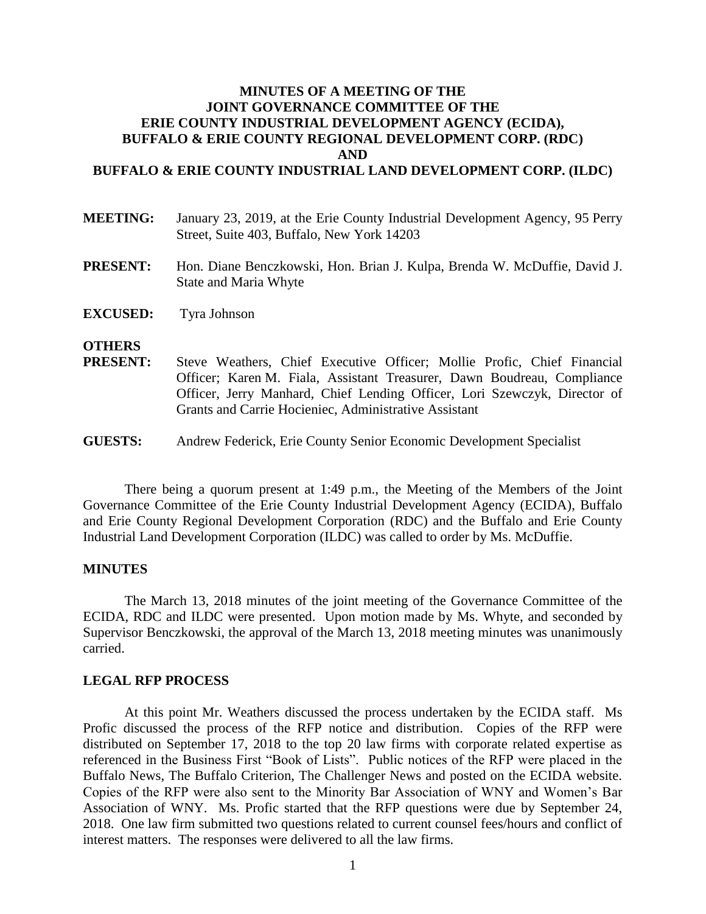# **MINUTES OF A MEETING OF THE JOINT GOVERNANCE COMMITTEE OF THE ERIE COUNTY INDUSTRIAL DEVELOPMENT AGENCY (ECIDA), BUFFALO & ERIE COUNTY REGIONAL DEVELOPMENT CORP. (RDC) AND**

## **BUFFALO & ERIE COUNTY INDUSTRIAL LAND DEVELOPMENT CORP. (ILDC)**

| <b>MEETING:</b> | January 23, 2019, at the Erie County Industrial Development Agency, 95 Perry |
|-----------------|------------------------------------------------------------------------------|
|                 | Street, Suite 403, Buffalo, New York 14203                                   |
|                 |                                                                              |

- **PRESENT:** Hon. Diane Benczkowski, Hon. Brian J. Kulpa, Brenda W. McDuffie, David J. State and Maria Whyte
- **EXCUSED:** Tyra Johnson

## **OTHERS**

- **PRESENT:** Steve Weathers, Chief Executive Officer; Mollie Profic, Chief Financial Officer; Karen M. Fiala, Assistant Treasurer, Dawn Boudreau, Compliance Officer, Jerry Manhard, Chief Lending Officer, Lori Szewczyk, Director of Grants and Carrie Hocieniec, Administrative Assistant
- **GUESTS:** Andrew Federick, Erie County Senior Economic Development Specialist

There being a quorum present at 1:49 p.m., the Meeting of the Members of the Joint Governance Committee of the Erie County Industrial Development Agency (ECIDA), Buffalo and Erie County Regional Development Corporation (RDC) and the Buffalo and Erie County Industrial Land Development Corporation (ILDC) was called to order by Ms. McDuffie.

#### **MINUTES**

The March 13, 2018 minutes of the joint meeting of the Governance Committee of the ECIDA, RDC and ILDC were presented. Upon motion made by Ms. Whyte, and seconded by Supervisor Benczkowski, the approval of the March 13, 2018 meeting minutes was unanimously carried.

#### **LEGAL RFP PROCESS**

At this point Mr. Weathers discussed the process undertaken by the ECIDA staff. Ms Profic discussed the process of the RFP notice and distribution. Copies of the RFP were distributed on September 17, 2018 to the top 20 law firms with corporate related expertise as referenced in the Business First "Book of Lists". Public notices of the RFP were placed in the Buffalo News, The Buffalo Criterion, The Challenger News and posted on the ECIDA website. Copies of the RFP were also sent to the Minority Bar Association of WNY and Women's Bar Association of WNY. Ms. Profic started that the RFP questions were due by September 24, 2018. One law firm submitted two questions related to current counsel fees/hours and conflict of interest matters. The responses were delivered to all the law firms.